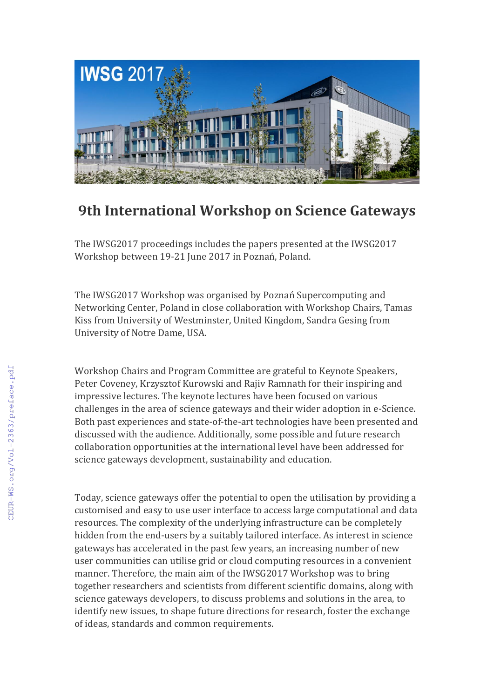

## **9th International Workshop on Science Gateways**

The IWSG2017 proceedings includes the papers presented at the IWSG2017 Workshop between 19-21 June 2017 in Poznań, Poland.

The IWSG2017 Workshop was organised by Poznań Supercomputing and Networking Center, Poland in close collaboration with Workshop Chairs, Tamas Kiss from University of Westminster, United Kingdom, Sandra Gesing from University of Notre Dame, USA.

Workshop Chairs and Program Committee are grateful to Keynote Speakers, Peter Coveney, Krzysztof Kurowski and Rajiv Ramnath for their inspiring and impressive lectures. The keynote lectures have been focused on various challenges in the area of science gateways and their wider adoption in e-Science. Both past experiences and state-of-the-art technologies have been presented and discussed with the audience. Additionally, some possible and future research collaboration opportunities at the international level have been addressed for science gateways development, sustainability and education.

Today, science gateways offer the potential to open the utilisation by providing a customised and easy to use user interface to access large computational and data resources. The complexity of the underlying infrastructure can be completely hidden from the end-users by a suitably tailored interface. As interest in science gateways has accelerated in the past few years, an increasing number of new user communities can utilise grid or cloud computing resources in a convenient manner. Therefore, the main aim of the IWSG2017 Workshop was to bring together researchers and scientists from different scientific domains, along with science gateways developers, to discuss problems and solutions in the area, to identify new issues, to shape future directions for research, foster the exchange of ideas, standards and common requirements.